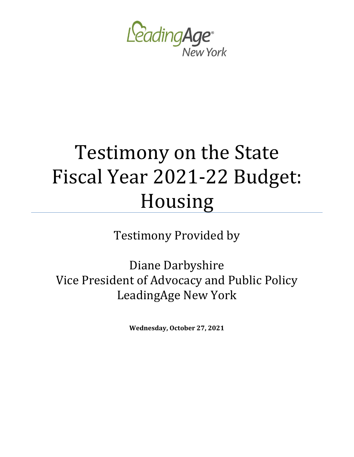

# Testimony on the State Fiscal Year 2021-22 Budget: Housing

Testimony Provided by

Diane Darbyshire Vice President of Advocacy and Public Policy LeadingAge New York

**Wednesday, October 27, 2021**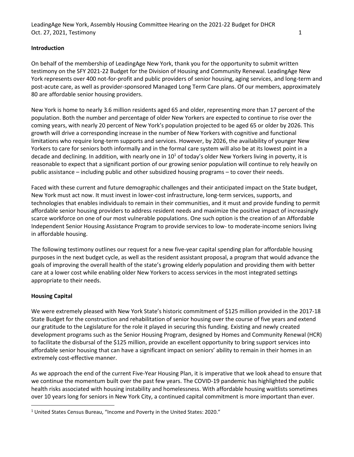#### **Introduction**

On behalf of the membership of LeadingAge New York, thank you for the opportunity to submit written testimony on the SFY 2021-22 Budget for the Division of Housing and Community Renewal. LeadingAge New York represents over 400 not-for-profit and public providers of senior housing, aging services, and long-term and post-acute care, as well as provider-sponsored Managed Long Term Care plans. Of our members, approximately 80 are affordable senior housing providers.

New York is home to nearly 3.6 million residents aged 65 and older, representing more than 17 percent of the population. Both the number and percentage of older New Yorkers are expected to continue to rise over the coming years, with nearly 20 percent of New York's population projected to be aged 65 or older by 2026. This growth will drive a corresponding increase in the number of New Yorkers with cognitive and functional limitations who require long-term supports and services. However, by 2026, the availability of younger New Yorkers to care for seniors both informally and in the formal care system will also be at its lowest point in a decade and declining. In addition, with nearly one in  $10^1$  of today's older New Yorkers living in poverty, it is reasonable to expect that a significant portion of our growing senior population will continue to rely heavily on public assistance – including public and other subsidized housing programs – to cover their needs.

Faced with these current and future demographic challenges and their anticipated impact on the State budget, New York must act now. It must invest in lower-cost infrastructure, long-term services, supports, and technologies that enables individuals to remain in their communities, and it must and provide funding to permit affordable senior housing providers to address resident needs and maximize the positive impact of increasingly scarce workforce on one of our most vulnerable populations. One such option is the creation of an Affordable Independent Senior Housing Assistance Program to provide services to low- to moderate-income seniors living in affordable housing.

The following testimony outlines our request for a new five-year capital spending plan for affordable housing purposes in the next budget cycle, as well as the resident assistant proposal, a program that would advance the goals of improving the overall health of the state's growing elderly population and providing them with better care at a lower cost while enabling older New Yorkers to access services in the most integrated settings appropriate to their needs.

## **Housing Capital**

We were extremely pleased with New York State's historic commitment of \$125 million provided in the 2017-18 State Budget for the construction and rehabilitation of senior housing over the course of five years and extend our gratitude to the Legislature for the role it played in securing this funding. Existing and newly created development programs such as the Senior Housing Program, designed by Homes and Community Renewal (HCR) to facilitate the disbursal of the \$125 million, provide an excellent opportunity to bring support services into affordable senior housing that can have a significant impact on seniors' ability to remain in their homes in an extremely cost-effective manner.

As we approach the end of the current Five-Year Housing Plan, it is imperative that we look ahead to ensure that we continue the momentum built over the past few years. The COVID-19 pandemic has highlighted the public health risks associated with housing instability and homelessness. With affordable housing waitlists sometimes over 10 years long for seniors in New York City, a continued capital commitment is more important than ever.

<sup>1</sup> United States Census Bureau, "Income and Poverty in the United States: 2020."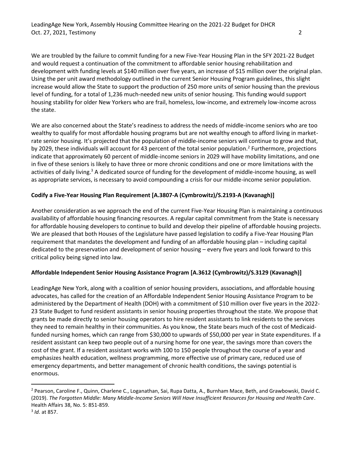We are troubled by the failure to commit funding for a new Five-Year Housing Plan in the SFY 2021-22 Budget and would request a continuation of the commitment to affordable senior housing rehabilitation and development with funding levels at \$140 million over five years, an increase of \$15 million over the original plan. Using the per unit award methodology outlined in the current Senior Housing Program guidelines, this slight increase would allow the State to support the production of 250 more units of senior housing than the previous level of funding, for a total of 1,236 much-needed new units of senior housing. This funding would support housing stability for older New Yorkers who are frail, homeless, low-income, and extremely low-income across the state.

We are also concerned about the State's readiness to address the needs of middle-income seniors who are too wealthy to qualify for most affordable housing programs but are not wealthy enough to afford living in marketrate senior housing. It's projected that the population of middle-income seniors will continue to grow and that, by 2029, these individuals will account for 43 percent of the total senior population.<sup>2</sup> Furthermore, projections indicate that approximately 60 percent of middle-income seniors in 2029 will have mobility limitations, and one in five of these seniors is likely to have three or more chronic conditions and one or more limitations with the activities of daily living.<sup>3</sup> A dedicated source of funding for the development of middle-income housing, as well as appropriate services, is necessary to avoid compounding a crisis for our middle-income senior population.

## **Codify a Five-Year Housing Plan Requirement [A.3807-A (Cymbrowitz)/S.2193-A (Kavanagh)]**

Another consideration as we approach the end of the current Five-Year Housing Plan is maintaining a continuous availability of affordable housing financing resources. A regular capital commitment from the State is necessary for affordable housing developers to continue to build and develop their pipeline of affordable housing projects. We are pleased that both Houses of the Legislature have passed legislation to codify a Five-Year Housing Plan requirement that mandates the development and funding of an affordable housing plan – including capital dedicated to the preservation and development of senior housing – every five years and look forward to this critical policy being signed into law.

## **Affordable Independent Senior Housing Assistance Program [A.3612 (Cymbrowitz)/S.3129 (Kavanagh)]**

LeadingAge New York, along with a coalition of senior housing providers, associations, and affordable housing advocates, has called for the creation of an Affordable Independent Senior Housing Assistance Program to be administered by the Department of Health (DOH) with a commitment of \$10 million over five years in the 2022- 23 State Budget to fund resident assistants in senior housing properties throughout the state. We propose that grants be made directly to senior housing operators to hire resident assistants to link residents to the services they need to remain healthy in their communities. As you know, the State bears much of the cost of Medicaidfunded nursing homes, which can range from \$30,000 to upwards of \$50,000 per year in State expenditures. If a resident assistant can keep two people out of a nursing home for one year, the savings more than covers the cost of the grant. If a resident assistant works with 100 to 150 people throughout the course of a year and emphasizes health education, wellness programming, more effective use of primary care, reduced use of emergency departments, and better management of chronic health conditions, the savings potential is enormous.

<sup>&</sup>lt;sup>2</sup> Pearson, Caroline F., Quinn, Charlene C., Loganathan, Sai, Rupa Datta, A., Burnham Mace, Beth, and Grawbowski, David C. (2019). *The Forgotten Middle: Many Middle-Income Seniors Will Have Insufficient Resources for Housing and Health Care*. Health Affairs 38, No. 5: 851-859.

<sup>3</sup> *Id.* at 857.